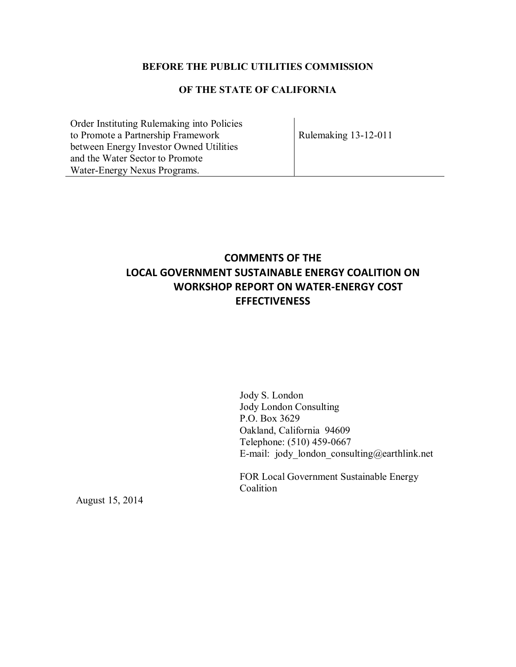## **BEFORE THE PUBLIC UTILITIES COMMISSION**

## **OF THE STATE OF CALIFORNIA**

Order Instituting Rulemaking into Policies to Promote a Partnership Framework between Energy Investor Owned Utilities and the Water Sector to Promote Water-Energy Nexus Programs.

Rulemaking 13-12-011

## **COMMENTS OF THE LOCAL GOVERNMENT SUSTAINABLE ENERGY COALITION ON WORKSHOP REPORT ON WATER-ENERGY COST EFFECTIVENESS**

Jody S. London Jody London Consulting P.O. Box 3629 Oakland, California 94609 Telephone: (510) 459-0667 E-mail: jody london consulting@earthlink.net

FOR Local Government Sustainable Energy Coalition

August 15, 2014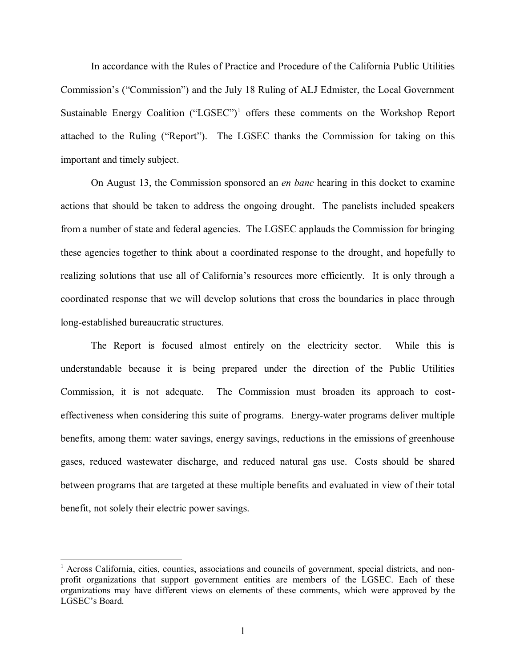In accordance with the Rules of Practice and Procedure of the California Public Utilities Commission's ("Commission") and the July 18 Ruling of ALJ Edmister, the Local Government Sustainable Energy Coalition ("LGSEC")<sup>1</sup> offers these comments on the Workshop Report attached to the Ruling ("Report"). The LGSEC thanks the Commission for taking on this important and timely subject.

On August 13, the Commission sponsored an *en banc* hearing in this docket to examine actions that should be taken to address the ongoing drought. The panelists included speakers from a number of state and federal agencies. The LGSEC applauds the Commission for bringing these agencies together to think about a coordinated response to the drought, and hopefully to realizing solutions that use all of California's resources more efficiently. It is only through a coordinated response that we will develop solutions that cross the boundaries in place through long-established bureaucratic structures.

The Report is focused almost entirely on the electricity sector. While this is understandable because it is being prepared under the direction of the Public Utilities Commission, it is not adequate. The Commission must broaden its approach to costeffectiveness when considering this suite of programs. Energy-water programs deliver multiple benefits, among them: water savings, energy savings, reductions in the emissions of greenhouse gases, reduced wastewater discharge, and reduced natural gas use. Costs should be shared between programs that are targeted at these multiple benefits and evaluated in view of their total benefit, not solely their electric power savings.

 $\overline{a}$ 

<sup>&</sup>lt;sup>1</sup> Across California, cities, counties, associations and councils of government, special districts, and nonprofit organizations that support government entities are members of the LGSEC. Each of these organizations may have different views on elements of these comments, which were approved by the LGSEC's Board.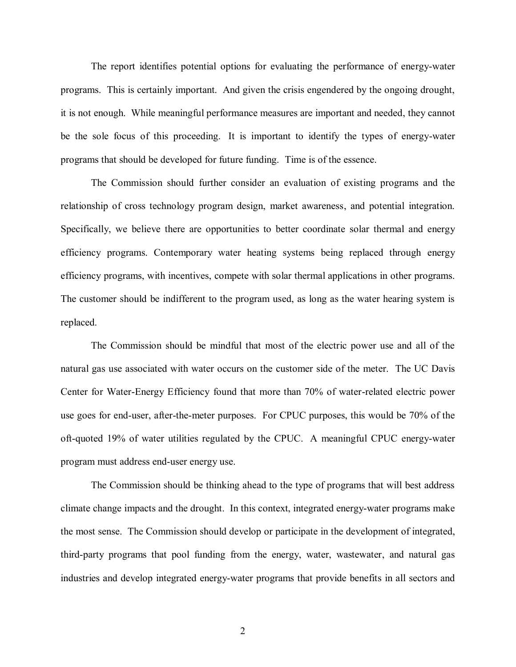The report identifies potential options for evaluating the performance of energy-water programs. This is certainly important. And given the crisis engendered by the ongoing drought, it is not enough. While meaningful performance measures are important and needed, they cannot be the sole focus of this proceeding. It is important to identify the types of energy-water programs that should be developed for future funding. Time is of the essence.

The Commission should further consider an evaluation of existing programs and the relationship of cross technology program design, market awareness, and potential integration. Specifically, we believe there are opportunities to better coordinate solar thermal and energy efficiency programs. Contemporary water heating systems being replaced through energy efficiency programs, with incentives, compete with solar thermal applications in other programs. The customer should be indifferent to the program used, as long as the water hearing system is replaced.

The Commission should be mindful that most of the electric power use and all of the natural gas use associated with water occurs on the customer side of the meter. The UC Davis Center for Water-Energy Efficiency found that more than 70% of water-related electric power use goes for end-user, after-the-meter purposes. For CPUC purposes, this would be 70% of the oft-quoted 19% of water utilities regulated by the CPUC. A meaningful CPUC energy-water program must address end-user energy use.

The Commission should be thinking ahead to the type of programs that will best address climate change impacts and the drought. In this context, integrated energy-water programs make the most sense. The Commission should develop or participate in the development of integrated, third-party programs that pool funding from the energy, water, wastewater, and natural gas industries and develop integrated energy-water programs that provide benefits in all sectors and

2